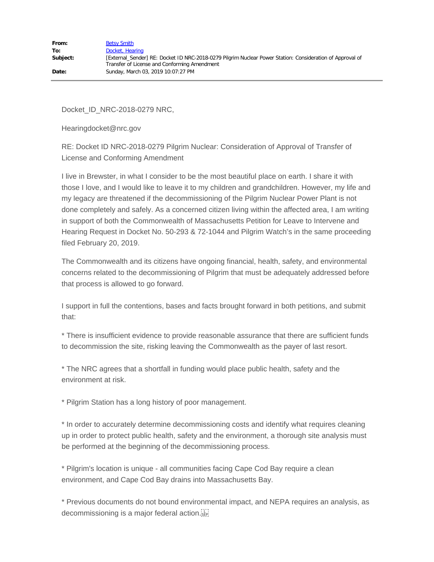Docket\_ID\_NRC-2018-0279 NRC,

Hearingdocket@nrc.gov

RE: Docket ID NRC-2018-0279 Pilgrim Nuclear: Consideration of Approval of Transfer of License and Conforming Amendment

I live in Brewster, in what I consider to be the most beautiful place on earth. I share it with those I love, and I would like to leave it to my children and grandchildren. However, my life and my legacy are threatened if the decommissioning of the Pilgrim Nuclear Power Plant is not done completely and safely. As a concerned citizen living within the affected area, I am writing in support of both the Commonwealth of Massachusetts Petition for Leave to Intervene and Hearing Request in Docket No. 50-293 & 72-1044 and Pilgrim Watch's in the same proceeding filed February 20, 2019.

The Commonwealth and its citizens have ongoing financial, health, safety, and environmental concerns related to the decommissioning of Pilgrim that must be adequately addressed before that process is allowed to go forward.

I support in full the contentions, bases and facts brought forward in both petitions, and submit that:

\* There is insufficient evidence to provide reasonable assurance that there are sufficient funds to decommission the site, risking leaving the Commonwealth as the payer of last resort.

\* The NRC agrees that a shortfall in funding would place public health, safety and the environment at risk.

\* Pilgrim Station has a long history of poor management.

\* In order to accurately determine decommissioning costs and identify what requires cleaning up in order to protect public health, safety and the environment, a thorough site analysis must be performed at the beginning of the decommissioning process.

\* Pilgrim's location is unique - all communities facing Cape Cod Bay require a clean environment, and Cape Cod Bay drains into Massachusetts Bay.

\* Previous documents do not bound environmental impact, and NEPA requires an analysis, as decommissioning is a major federal action.